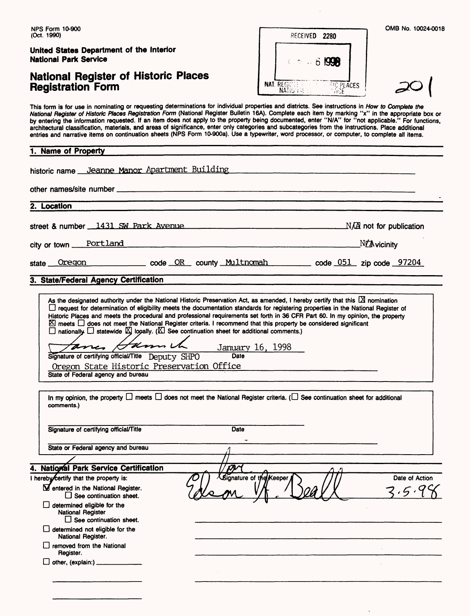**United States Department of the Interior National Park Service**

### National Register of Historic Places **Registration Form**

| RECEIVED 2280                                    |  |
|--------------------------------------------------|--|
| $6.5 - 6.1998$                                   |  |
| <b>NAT. REGISTER</b><br><b>ELECTRICES</b><br>wac |  |

This form is for use in nominating or requesting determinations for individual properties and districts. See instructions in How to Complete the National Register of Historic Places Registration Form (National Register Bulletin 16A). Complete each item by marking "x" in the appropriate box or by entering the information requested. If an item does not apply to the property being documented, enter "N/A" for "not applicable." For functions, architectural classification, materials, and areas of significance, enter only categories and subcategories from the instructions. Place additional entries and narrative items on continuation sheets (NPS Form 10-900a). Use a typewriter, word processor, or computer, to complete all items.

| 1. Name of Property<br>historic name Jeanne Manor Apartment Building __________________________________                                                                                                                                                                                                                                                                                                                                                                                                                                                                                                                                                         |                       |
|-----------------------------------------------------------------------------------------------------------------------------------------------------------------------------------------------------------------------------------------------------------------------------------------------------------------------------------------------------------------------------------------------------------------------------------------------------------------------------------------------------------------------------------------------------------------------------------------------------------------------------------------------------------------|-----------------------|
|                                                                                                                                                                                                                                                                                                                                                                                                                                                                                                                                                                                                                                                                 |                       |
| 2. Location                                                                                                                                                                                                                                                                                                                                                                                                                                                                                                                                                                                                                                                     |                       |
| street & number $\_1431$ SW Park Avenue                                                                                                                                                                                                                                                                                                                                                                                                                                                                                                                                                                                                                         |                       |
| city or town Portland<br><u> 1980 - Johann John Stone, martin de Berlin (f. 1980)</u>                                                                                                                                                                                                                                                                                                                                                                                                                                                                                                                                                                           | $N$ $\Delta$ vicinity |
| Oregon contract come come county Multnomah come code 051 zip code 97204<br>state                                                                                                                                                                                                                                                                                                                                                                                                                                                                                                                                                                                |                       |
| 3. State/Federal Agency Certification                                                                                                                                                                                                                                                                                                                                                                                                                                                                                                                                                                                                                           |                       |
|                                                                                                                                                                                                                                                                                                                                                                                                                                                                                                                                                                                                                                                                 |                       |
| As the designated authority under the National Historic Preservation Act, as amended, I hereby certify that this $\boxtimes$ nomination<br>□ request for determination of eligibility meets the documentation standards for registering properties in the National Register of<br>Historic Places and meets the procedural and professional requirements set forth in 36 CFR Part 60. In my opinion, the property<br>⊠ meets □ does not meet the National Register criteria. I recommend that this property be considered significant<br>$\Box$ nationally $\Box$ statewide $\boxtimes$ logally. ( $\boxtimes$ See continuation sheet for additional comments.) |                       |
| fame, Gamel January 16, 1998<br>Signature of certifying official/Title Deputy SHPO<br>Date                                                                                                                                                                                                                                                                                                                                                                                                                                                                                                                                                                      |                       |
| Oregon State Historic Preservation Office<br>State of Federal agency and bureau                                                                                                                                                                                                                                                                                                                                                                                                                                                                                                                                                                                 |                       |
|                                                                                                                                                                                                                                                                                                                                                                                                                                                                                                                                                                                                                                                                 |                       |
| In my opinion, the property $\Box$ meets $\Box$ does not meet the National Register criteria. ( $\Box$ See continuation sheet for additional<br>comments.)                                                                                                                                                                                                                                                                                                                                                                                                                                                                                                      |                       |

**4. National Park Service Certification** I hereby certify that the property is: Signature of the Кеереі Date of Action $\mathbf \Sigma$  entered in the National Register. D See continuation sheet. D determined eligible for the National Register  $\square$  See continuation sheet. D determined not eligible for the National Register. D removed from the National Register.  $\Box$  other, (explain:)  $\Box$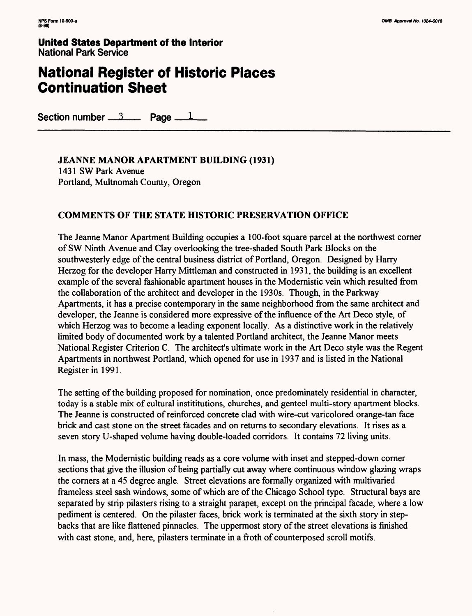**United States Department of the Interior** National Park Service

# **National Register of Historic Places Continuation Sheet**

Section number  $\frac{3}{2}$  Page  $\frac{1}{2}$ 

JEANNE **MANOR APARTMENT BUILDING (1931)** 1431 SW Park Avenue Portland, Multnomah County, Oregon

### **COMMENTS OF THE STATE HISTORIC PRESERVATION OFFICE**

The Jeanne Manor Apartment Building occupies a 100-foot square parcel at the northwest corner of SW Ninth Avenue and Clay overlooking the tree-shaded South Park Blocks on the southwesterly edge of the central business district of Portland, Oregon. Designed by Harry Herzog for the developer Harry Mittleman and constructed in 1931, the building is an excellent example of the several fashionable apartment houses in the Modernistic vein which resulted from the collaboration of the architect and developer in the 1930s. Though, in the Parkway Apartments, it has a precise contemporary in the same neighborhood from the same architect and developer, the Jeanne is considered more expressive of the influence of the Art Deco style, of which Herzog was to become a leading exponent locally. As a distinctive work in the relatively limited body of documented work by a talented Portland architect, the Jeanne Manor meets National Register Criterion C. The architect's ultimate work in the Art Deco style was the Regent Apartments in northwest Portland, which opened for use in 1937 and is listed in the National Register in 1991.

The setting of the building proposed for nomination, once predominately residential in character, today is a stable mix of cultural instititutions, churches, and genteel multi-story apartment blocks. The Jeanne is constructed of reinforced concrete clad with wire-cut varicolored orange-tan face brick and cast stone on the street facades and on returns to secondary elevations. It rises as a seven story U-shaped volume having double-loaded corridors. It contains *12* living units.

In mass, the Modernistic building reads as a core volume with inset and stepped-down corner sections that give the illusion of being partially cut away where continuous window glazing wraps the corners at a 45 degree angle. Street elevations are formally organized with multivaried frameless steel sash windows, some of which are of the Chicago School type. Structural bays are separated by strip pilasters rising to a straight parapet, except on the principal facade, where a low pediment is centered. On the pilaster faces, brick work is terminated at the sixth story in stepbacks that are like flattened pinnacles. The uppermost story of the street elevations is finished with cast stone, and, here, pilasters terminate in a froth of counterposed scroll motifs.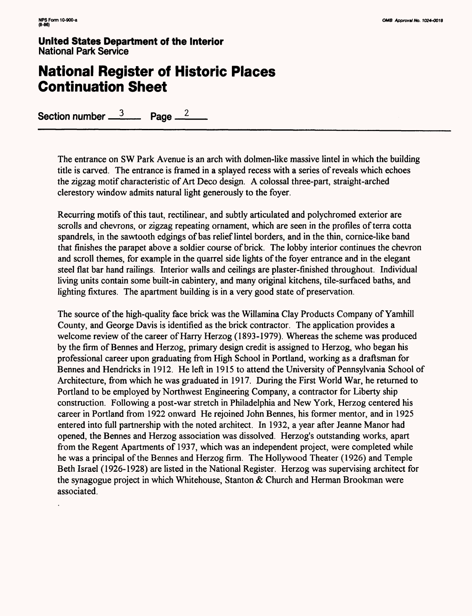**United States Department of the Interior** National Park Service

# **National Register of Historic Places Continuation Sheet**

Section number  $\frac{3}{2}$  Page  $\frac{2}{2}$ 

The entrance on SW Park Avenue is an arch with dolmen-like massive lintel in which the building title is carved. The entrance is framed in a splayed recess with a series of reveals which echoes the zigzag motif characteristic of Art Deco design. A colossal three-part, straight-arched clerestory window admits natural light generously to the foyer.

Recurring motifs of this taut, rectilinear, and subtly articulated and polychromed exterior are scrolls and chevrons, or zigzag repeating ornament, which are seen in the profiles of terra cotta spandrels, in the sawtooth edgings of bas relief lintel borders, and in the thin, cornice-like band that finishes the parapet above a soldier course of brick. The lobby interior continues the chevron and scroll themes, for example in the quarrel side lights of the foyer entrance and in the elegant steel flat bar hand railings. Interior walls and ceilings are plaster-finished throughout. Individual living units contain some built-in cabintery, and many original kitchens, tile-surfaced baths, and lighting fixtures. The apartment building is in a very good state of preservation.

The source of the high-quality face brick was the Willamina Clay Products Company of Yamhill County, and George Davis is identified as the brick contractor. The application provides a welcome review of the career of Harry Herzog (1893-1979). Whereas the scheme was produced by the firm of Bennes and Herzog, primary design credit is assigned to Herzog, who began his professional career upon graduating from High School in Portland, working as a draftsman for Bennes and Hendricks in 1912. He left in 1915 to attend the University of Pennsylvania School of Architecture, from which he was graduated in 1917. During the First World War, he returned to Portland to be employed by Northwest Engineering Company, a contractor for Liberty ship construction. Following a post-war stretch in Philadelphia and New York, Herzog centered his career in Portland from 1922 onward He rejoined John Bennes, his former mentor, and in 1925 entered into full partnership with the noted architect. In 1932, a year after Jeanne Manor had opened, the Bennes and Herzog association was dissolved. Herzog's outstanding works, apart from the Regent Apartments of 1937, which was an independent project, were completed while he was a principal of the Bennes and Herzog firm. The Hollywood Theater (1926) and Temple Beth Israel (1926-1928) are listed in the National Register. Herzog was supervising architect for the synagogue project in which Whitehouse, Stanton & Church and Herman Brookman were associated.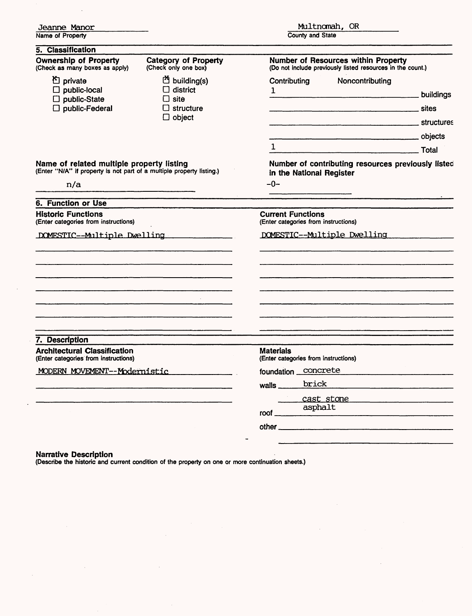| Jeanne Manor                                                                                                              |                                                                                                                                                   | Multnomah, OR                                                                                               |                    |  |
|---------------------------------------------------------------------------------------------------------------------------|---------------------------------------------------------------------------------------------------------------------------------------------------|-------------------------------------------------------------------------------------------------------------|--------------------|--|
| Name of Property                                                                                                          |                                                                                                                                                   | <b>County and State</b>                                                                                     |                    |  |
| 5. Classification                                                                                                         |                                                                                                                                                   |                                                                                                             |                    |  |
| <b>Ownership of Property</b><br>(Check as many boxes as apply)                                                            | <b>Category of Property</b><br>(Check only one box)                                                                                               | <b>Number of Resources within Property</b><br>(Do not include previously listed resources in the count.)    |                    |  |
| <sup>凸</sup> private<br>$\Box$ public-local<br>$\Box$ public-State<br>$\Box$ public-Federal                               | the building(s)<br>district<br>$\square$ site<br>$\Box$ structure<br>$\Box$ object                                                                | Noncontributing<br>Contributing<br>$\mathbf{1}$<br><b>CONSUMING SETTING CONTINUES AND SET OF STRUCTURES</b> | buildings<br>sites |  |
| Name of related multiple property listing<br>(Enter "N/A" if property is not part of a multiple property listing.)<br>n/a |                                                                                                                                                   | $\mathbf{1}$<br>Number of contributing resources previously listed<br>in the National Register<br>$-0-$     |                    |  |
| <b>6. Function or Use</b>                                                                                                 |                                                                                                                                                   |                                                                                                             |                    |  |
| <b>Historic Functions</b><br>(Enter categories from instructions)                                                         |                                                                                                                                                   | <b>Current Functions</b><br>(Enter categories from instructions)                                            |                    |  |
| DOMESTIC--Multiple Dwelling                                                                                               |                                                                                                                                                   | DOMESTIC--Multiple Dwelling                                                                                 |                    |  |
|                                                                                                                           | <u> 1980 - Jan Barnett, fransk politik (d. 1980)</u><br>the company of the company of the company of the company of the company of the company of |                                                                                                             |                    |  |
| 7. Description                                                                                                            |                                                                                                                                                   |                                                                                                             |                    |  |
| <b>Architectural Classification</b><br>(Enter categories from instructions)                                               |                                                                                                                                                   | <b>Materials</b><br>(Enter categories from instructions)                                                    |                    |  |
| MODERN MOVEMENT--Modernistic                                                                                              |                                                                                                                                                   | foundation concrete                                                                                         |                    |  |
|                                                                                                                           |                                                                                                                                                   | brick<br>walls $\frac{1}{2}$<br>cast stone                                                                  |                    |  |
|                                                                                                                           |                                                                                                                                                   | asphalt<br>roof_                                                                                            |                    |  |
|                                                                                                                           |                                                                                                                                                   |                                                                                                             |                    |  |
|                                                                                                                           |                                                                                                                                                   |                                                                                                             |                    |  |

 $\mathcal{L}^{\mathcal{L}}$ 

V.

#### **Narrative Description**

 $\sim$ 

 $\mathcal{A}$ 

 $\bar{\gamma}$ 

 $\ddot{\phantom{a}}$ 

 $\hat{\mathcal{A}}$ 

(Describe the historic and current condition of the property on one or more continuation sheets.)

 $\sim$ 

 $\bar{\mathcal{A}}$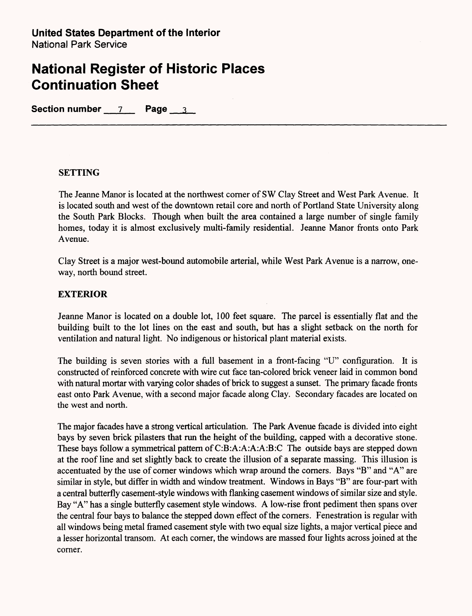Section number 7 Page 3

### **SETTING**

The Jeanne Manor is located at the northwest corner of SW Clay Street and West Park Avenue. It is located south and west of the downtown retail core and north of Portland State University along the South Park Blocks. Though when built the area contained a large number of single family homes, today it is almost exclusively multi-family residential. Jeanne Manor fronts onto Park Avenue.

Clay Street is a major west-bound automobile arterial, while West Park Avenue is a narrow, oneway, north bound street.

### **EXTERIOR**

Jeanne Manor is located on a double lot, 100 feet square. The parcel is essentially flat and the building built to the lot lines on the east and south, but has a slight setback on the north for ventilation and natural light. No indigenous or historical plant material exists.

The building is seven stories with a full basement in a front-facing "U" configuration. It is constructed of reinforced concrete with wire cut face tan-colored brick veneer laid in common bond with natural mortar with varying color shades of brick to suggest a sunset. The primary facade fronts east onto Park Avenue, with a second major facade along Clay. Secondary facades are located on the west and north.

The major facades have a strong vertical articulation. The Park Avenue facade is divided into eight bays by seven brick pilasters that run the height of the building, capped with a decorative stone. These bays follow a symmetrical pattern of C:B:A:A:A:A:B:C The outside bays are stepped down at the roof line and set slightly back to create the illusion of a separate massing. This illusion is accentuated by the use of corner windows which wrap around the corners. Bays "B" and "A" are similar in style, but differ in width and window treatment. Windows in Bays "B" are four-part with a central butterfly casement-style windows with flanking casement windows of similar size and style. Bay "A" has a single butterfly casement style windows. A low-rise front pediment then spans over the central four bays to balance the stepped down effect of the corners. Fenestration is regular with all windows being metal framed casement style with two equal size lights, a major vertical piece and a lesser horizontal transom. At each corner, the windows are massed four lights across joined at the corner.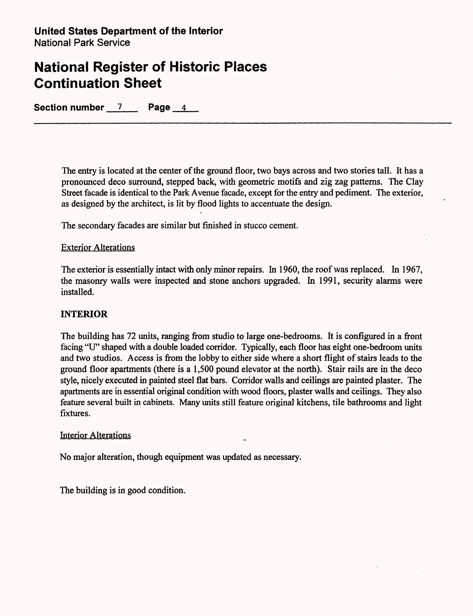**Section number 7 Page 4**

The entry is located at the center of the ground floor, two bays across and two stories tall. It has a pronounced deco surround, stepped back, with geometric motifs and zig zag patterns. The Clay Street facade is identical to the Park Avenue facade, except for the entry and pediment. The exterior, as designed by the architect, is lit by flood lights to accentuate the design.

The secondary facades are similar but finished in stucco cement.

### Exterior Alterations

The exterior is essentially intact with only minor repairs. In 1960, the roof was replaced. In 1967, the masonry walls were inspected and stone anchors upgraded. In 1991, security alarms were installed.

#### **INTERIOR**

The building has 72 units, ranging from studio to large one-bedrooms. It is configured in a front facing "U" shaped with a double loaded corridor. Typically, each floor has eight one-bedroom units and two studios. Access is from the lobby to either side where a short flight of stairs leads to the ground floor apartments (there is a 1,500 pound elevator at the north). Stair rails are in the deco style, nicely executed in painted steel flat bars. Corridor walls and ceilings are painted plaster. The apartments are in essential original condition with wood floors, plaster walls and ceilings. They also feature several built in cabinets. Many units still feature original kitchens, tile bathrooms and light fixtures.

#### Interior Alterations

No major alteration, though equipment was updated as necessary.

The building is in good condition.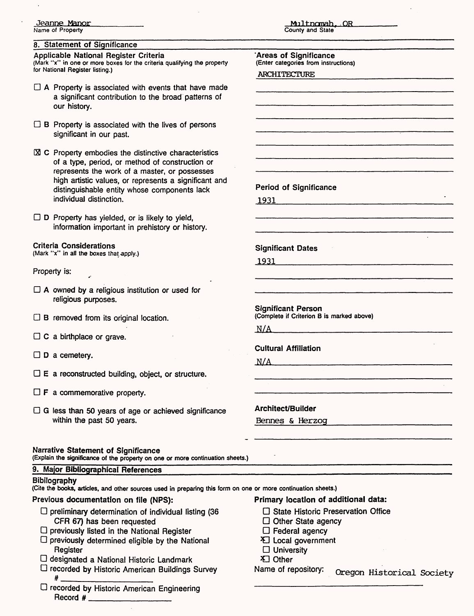#### 8. Statement of Significance

Applicable National Register Criteria (Mark "x" in one or more boxes for the criteria qualifying the property for National Register listing.)

- $\Box$  A Property is associated with events that have made a significant contribution to the broad patterns of our history.
- $\Box$  B Property is associated with the lives of persons significant in our past.
- $\boxtimes$  C Property embodies the distinctive characteristics of a type, period, or method of construction or represents the work of a master, or possesses high artistic values, or represents a significant and distinguishable entity whose components lack individual distinction.

 $\Box$  D Property has yielded, or is likely to yield, information important in prehistory or history.

#### Criteria Considerations

(Mark "x" in all the boxes that apply.)

#### Property is:

- $\Box$  A owned by a religious institution or used for religious purposes.
- $\Box$  B removed from its original location.
- $\Box$  C a birthplace or grave.
- $\Box$  D a cemetery.
- $\Box$  E a reconstructed building, object, or structure.
- $\Box$  **F** a commemorative property.
- $\Box$  G less than 50 years of age or achieved significance within the past 50 years.

Narrative Statement of Significance (Explain the significance of the property on one or more continuation sheets.)

#### 9. Major Bibliographical References

#### **Bibilography**

(Cite the books, articles, and other sources used in preparing this form on one or more continuation sheets.)

Previous documentation on file (NPS):

- $\Box$  preliminary determination of individual listing (36 CFR 67) has been requested
- $\Box$  previously listed in the National Register
- $\Box$  previously determined eligible by the National Register
- $\Box$  designated a National Historic Landmark
- D recorded by Historic American Buildings Survey

 $\frac{4}{\sqrt{2}}$ D recorded by Historic American Engineering Record  $#_$ 

Mnltncmah. .OR County and State

'Areas of Significance (Enter categories from instructions) ARCHITECTURE

Period of Significance

1931\_\_\_\_\_

Significant Dates

1931

Significant Person (Complete if Criterion B is marked above)

 $N/A$ 

Cultural Affiliation

 $N/A$ 

Architect/Builder

Bennes & Herzoq

Primary location of additional data:

- □ State Historic Preservation Office
- $\Box$  Other State agency
- $\Box$  Federal agency
- **E** Local government
- $\square$  University
- 3Q Other

Name of repository: Oregon Historical Society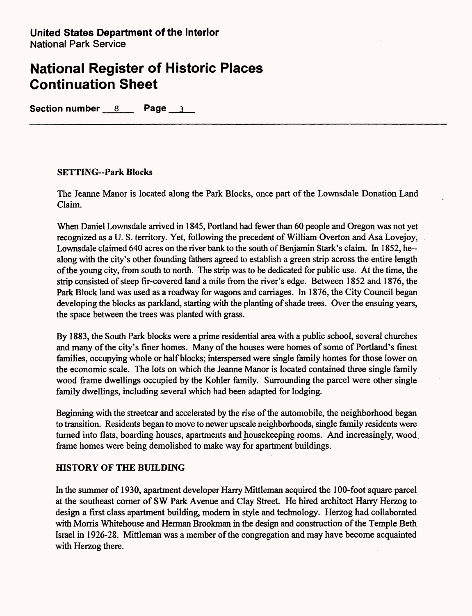**Section number 8 Page 3**

### **SETTING-Park Blocks**

The Jeanne Manor is located along the Park Blocks, once part of the Lownsdale Donation Land Claim.

When Daniel Lownsdale arrived in 1845, Portland had fewer than 60 people and Oregon was not yet recognized as a U. S. territory. Yet, following the precedent of William Overton and Asa Lovejoy, Lownsdale claimed 640 acres on the river bank to the south of Benjamin Stark's claim. In 1852, he-along with the city's other founding fathers agreed to establish a green strip across the entire length of the young city, from south to north. The strip was to be dedicated for public use. At the time, the strip consisted of steep fir-covered land a mile from the river's edge. Between 1852 and 1876, the Park Block land was used as a roadway for wagons and carriages. In 1876, the City Council began developing the blocks as parkland, starting with the planting of shade trees. Over the ensuing years, the space between the trees was planted with grass.

By 1883, the South Park blocks were a prime residential area with a public school, several churches and many of the city's finer homes. Many of the houses were homes of some of Portland's finest families, occupying whole or half blocks; interspersed were single family homes for those lower on the economic scale. The lots on which the Jeanne Manor is located contained three single family wood frame dwellings occupied by the Kohler family. Surrounding the parcel were other single family dwellings, including several which had been adapted for lodging.

Beginning with the streetcar and accelerated by the rise of the automobile, the neighborhood began to transition. Residents began to move to newer upscale neighborhoods, single family residents were turned into flats, boarding houses, apartments and housekeeping rooms. And increasingly, wood frame homes were being demolished to make way for apartment buildings.

### **fflSTORY OF THE BUILDING**

In the summer of 1930, apartment developer Harry Mittleman acquired the 100-foot square parcel at the southeast corner of SW Park Avenue and Clay Street. He hired architect Harry Herzog to design a first class apartment building, modern in style and technology. Herzog had collaborated with Morris Whitehouse and Herman Brookman in the design and construction of the Temple Beth Israel in 1926-28. Mittleman was a member of the congregation and may have become acquainted with Herzog there.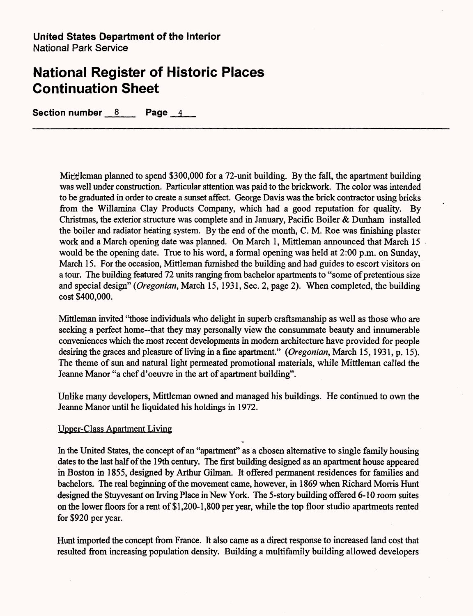Section number 8 Page 4

Mittleman planned to spend \$300,000 for a 72-unit building. By the fall, the apartment building was well under construction. Particular attention was paid to the brickwork. The color was intended to be graduated in order to create a sunset affect. George Davis was the brick contractor using bricks from the Willamina Clay Products Company, which had a good reputation for quality. By Christmas, the exterior structure was complete and in January, Pacific Boiler & Dunham installed the boiler and radiator heating system. By the end of the month, C. M. Roe was finishing plaster work and a March opening date was planned. On March 1, Mittleman announced that March 15 would be the opening date. True to his word, a formal opening was held at 2:00 p.m. on Sunday, March 15. For the occasion, Mittleman furnished the building and had guides to escort visitors on a tour. The building featured 72 units ranging from bachelor apartments to "some of pretentious size and special design" *(Oregonian,* March 15, 1931, Sec. 2, page 2). When completed, the building cost \$400,000.

Mittleman invited "those individuals who delight in superb craftsmanship as well as those who are seeking a perfect home--that they may personally view the consummate beauty and innumerable conveniences which the most recent developments in modern architecture have provided for people desiring the graces and pleasure of living in a fine apartment." *(Oregonian,* March 15,1931, p. 15). The theme of sun and natural light permeated promotional materials, while Mittleman called the Jeanne Manor "a chef d'oeuvre in the art of apartment building".

Unlike many developers, Mittleman owned and managed his buildings. He continued to own the Jeanne Manor until he liquidated his holdings in 1972.

#### Upper-Class Apartment Living

In the United States, the concept of an "apartment" as a chosen alternative to single family housing dates to the last half of the 19th century. The first building designed as an apartment house appeared in Boston in 1855, designed by Arthur Oilman. It offered permanent residences for families and bachelors. The real beginning of the movement came, however, in 1869 when Richard Morris Hunt designed the Stuyvesant on Irving Place in New York. The 5-story building offered 6-10 room suites on the lower floors for a rent of \$1,200-1,800 per year, while the top floor studio apartments rented for \$920 per year.

Hunt imported the concept from France. It also came as a direct response to increased land cost that resulted from increasing population density. Building a multifamily building allowed developers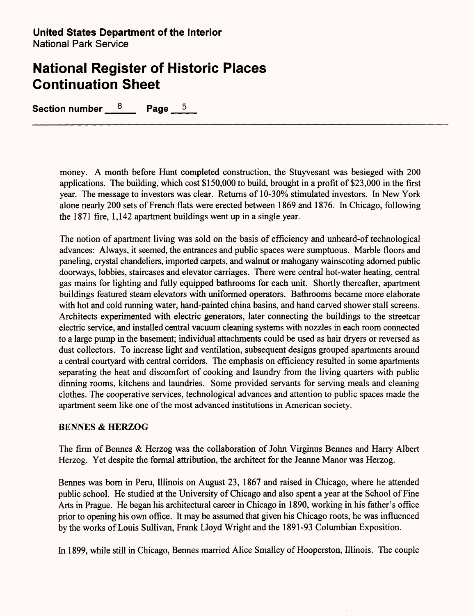Section number  $8$  Page 5

money. A month before Hunt completed construction, the Stuyvesant was besieged with 200 applications. The building, which cost \$150,000 to build, brought in a profit of \$23,000 in the first year. The message to investors was clear. Returns of 10-30% stimulated investors. In New York alone nearly 200 sets of French flats were erected between 1869 and 1876. In Chicago, following the 1871 fire, 1,142 apartment buildings went up in a single year.

The notion of apartment living was sold on the basis of efficiency and unheard-of technological advances: Always, it seemed, the entrances and public spaces were sumptuous. Marble floors and paneling, crystal chandeliers, imported carpets, and walnut or mahogany wainscoting adorned public doorways, lobbies, staircases and elevator carriages. There were central hot-water heating, central gas mains for lighting and fully equipped bathrooms for each unit. Shortly thereafter, apartment buildings featured steam elevators with uniformed operators. Bathrooms became more elaborate with hot and cold running water, hand-painted china basins, and hand carved shower stall screens. Architects experimented with electric generators, later connecting the buildings to the streetcar electric service, and installed central vacuum cleaning systems with nozzles in each room connected to a large pump in the basement; individual attachments could be used as hair dryers or reversed as dust collectors. To increase light and ventilation, subsequent designs grouped apartments around a central courtyard with central corridors. The emphasis on efficiency resulted in some apartments separating the heat and discomfort of cooking and laundry from the living quarters with public dinning rooms, kitchens and laundries. Some provided servants for serving meals and cleaning clothes. The cooperative services, technological advances and attention to public spaces made the apartment seem like one of the most advanced institutions in American society.

### BENNES **& HERZOG**

The firm of Bennes & Herzog was the collaboration of John Virginus Bennes and Harry Albert Herzog. Yet despite the formal attribution, the architect for the Jeanne Manor was Herzog.

Bennes was born in Peru, Illinois on August 23, 1867 and raised in Chicago, where he attended public school. He studied at the University of Chicago and also spent a year at the School of Fine Arts in Prague. He began his architectural career in Chicago in 1890, working in his father's office prior to opening his own office. It may be assumed that given his Chicago roots, he was influenced by the works of Louis Sullivan, Frank Lloyd Wright and the 1891-93 Columbian Exposition.

In 1899, while still in Chicago, Bennes married Alice Smalley of Hooperston, Illinois. The couple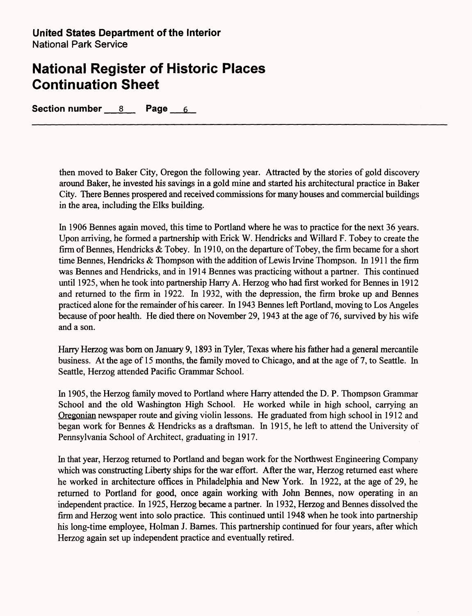**Section number 8 Page 6**

then moved to Baker City, Oregon the following year. Attracted by the stories of gold discovery around Baker, he invested his savings in a gold mine and started his architectural practice in Baker City. There Bennes prospered and received commissions for many houses and commercial buildings in the area, including the Elks building.

In 1906 Bennes again moved, this time to Portland where he was to practice for the next 36 years. Upon arriving, he formed a partnership with Erick W. Hendricks and Willard F. Tobey to create the firm of Bennes, Hendricks & Tobey. In 1910, on the departure of Tobey, the firm became for a short time Bennes, Hendricks & Thompson with the addition of Lewis Irvine Thompson. In 1911 the firm was Bennes and Hendricks, and in 1914 Bennes was practicing without a partner. This continued until 1925, when he took into partnership Harry A. Herzog who had first worked for Bennes in 1912 and returned to the firm in 1922. In 1932, with the depression, the firm broke up and Bennes practiced alone for the remainder of his career. In 1943 Bennes left Portland, moving to Los Angeles because of poor health. He died there on November 29,1943 at the age of 76, survived by his wife and a son.

Harry Herzog was born on January 9,1893 in Tyler, Texas where his father had a general mercantile business. At the age of 15 months, the family moved to Chicago, and at the age of 7, to Seattle. In Seattle, Herzog attended Pacific Grammar School.

In 1905, the Herzog family moved to Portland where Harry attended the D. P. Thompson Grammar School and the old Washington High School. He worked while in high school, carrying an Oregonian newspaper route and giving violin lessons. He graduated from high school in 1912 and began work for Bennes & Hendricks as a draftsman. In 1915, he left to attend the University of Pennsylvania School of Architect, graduating in 1917.

In that year, Herzog returned to Portland and began work for the Northwest Engineering Company which was constructing Liberty ships for the war effort. After the war, Herzog returned east where he worked in architecture offices in Philadelphia and New York. In 1922, at the age of 29, he returned to Portland for good, once again working with John Bennes, now operating in an independent practice. In 1925, Herzog became a partner. In 1932, Herzog and Bennes dissolved the firm and Herzog went into solo practice. This continued until 1948 when he took into partnership his long-time employee, Holman J. Barnes. This partnership continued for four years, after which Herzog again set up independent practice and eventually retired.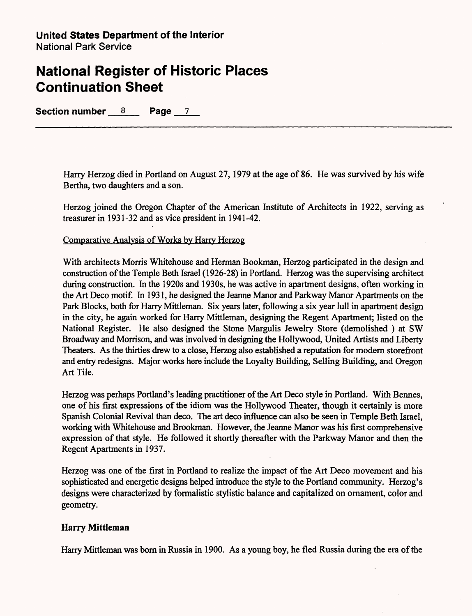Section number 8 Page 7

Harry Herzog died in Portland on August 27,1979 at the age of 86. He was survived by his wife Bertha, two daughters and a son.

Herzog joined the Oregon Chapter of the American Institute of Architects in 1922, serving as treasurer in 1931-32 and as vice president in 1941-42.

Comparative Analysis of Works by Harry Herzog

With architects Morris Whitehouse and Herman Bookman, Herzog participated in the design and construction of the Temple Beth Israel (1926-28) in Portland. Herzog was the supervising architect during construction. In the 1920s and 1930s, he was active in apartment designs, often working in the Art Deco motif. In 1931, he designed the Jeanne Manor and Parkway Manor Apartments on the Park Blocks, both for Harry Mittleman. Six years later, following a six year lull in apartment design in the city, he again worked for Harry Mittleman, designing the Regent Apartment; listed on the National Register. He also designed the Stone Margulis Jewelry Store (demolished ) at SW Broadway and Morrison, and was involved in designing the Hollywood, United Artists and Liberty Theaters. As the thirties drew to a close, Herzog also established a reputation for modern storefront and entry redesigns. Major works here include the Loyalty Building, Selling Building, and Oregon Art Tile.

Herzog was perhaps Portland's leading practitioner of the Art Deco style in Portland. With Bennes, one of his first expressions of the idiom was the Hollywood Theater, though it certainly is more Spanish Colonial Revival than deco. The art deco influence can also be seen in Temple Beth Israel, working with Whitehouse and Brookman. However, the Jeanne Manor was his first comprehensive expression of that style. He followed it shortly thereafter with the Parkway Manor and then the Regent Apartments in 1937.

Herzog was one of the first in Portland to realize the impact of the Art Deco movement and his. sophisticated and energetic designs helped introduce the style to the Portland community. Herzog's designs were characterized by formalistic stylistic balance and capitalized on ornament, color and geometry.

### **Harry Mittleman**

Harry Mittleman was born in Russia in 1900. As a young boy, he fled Russia during the era of the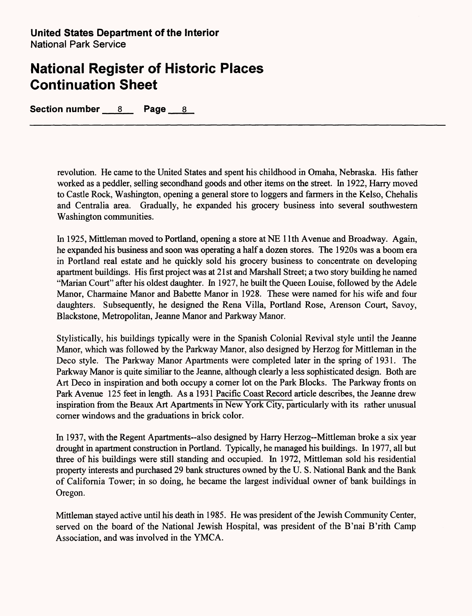**Section number 8 Page 8**

revolution. He came to the United States and spent his childhood in Omaha, Nebraska. His father worked as a peddler, selling secondhand goods and other items on the street. In 1922, Harry moved to Castle Rock, Washington, opening a general store to loggers and farmers in the Kelso, Chehalis and Centralia area. Gradually, he expanded his grocery business into several southwestern Washington communities.

In 1925, Mittleman moved to Portland, opening a store at NE 11th Avenue and Broadway. Again, he expanded his business and soon was operating a half a dozen stores. The 1920s was a boom era in Portland real estate and he quickly sold his grocery business to concentrate on developing apartment buildings. His first project was at 21 st and Marshall Street; a two story building he named "Marian Court" after his oldest daughter. In 1927, he built the Queen Louise, followed by the Adele Manor, Charmaine Manor and Babette Manor in 1928. These were named for his wife and four daughters. Subsequently, he designed the Rena Villa, Portland Rose, Arenson Court, Savoy, Blackstone, Metropolitan, Jeanne Manor and Parkway Manor.

Stylistically, his buildings typically were in the Spanish Colonial Revival style until the Jeanne Manor, which was followed by the Parkway Manor, also designed by Herzog for Mittleman in the Deco style. The Parkway Manor Apartments were completed later in the spring of 1931. The Parkway Manor is quite similiar to the Jeanne, although clearly a less sophisticated design. Both are Art Deco in inspiration and both occupy a corner lot on the Park Blocks. The Parkway fronts on Park Avenue 125 feet in length. As a 1931 Pacific Coast Record article describes, the Jeanne drew inspiration from the Beaux Art Apartments in New York City, particularly with its rather unusual corner windows and the graduations in brick color.

In 1937, with the Regent Apartments--also designed by Harry Herzog--Mittleman broke a six year drought in apartment construction in Portland. Typically, he managed his buildings. In 1977, all but three of his buildings were still standing and occupied. In 1972, Mittleman sold his residential property interests and purchased 29 bank structures owned by the U. S. National Bank and the Bank of California Tower; in so doing, he became the largest individual owner of bank buildings in Oregon.

Mittleman stayed active until his death in 1985. He was president of the Jewish Community Center, served on the board of the National Jewish Hospital, was president of the B'nai B'rith Camp Association, and was involved in the YMCA.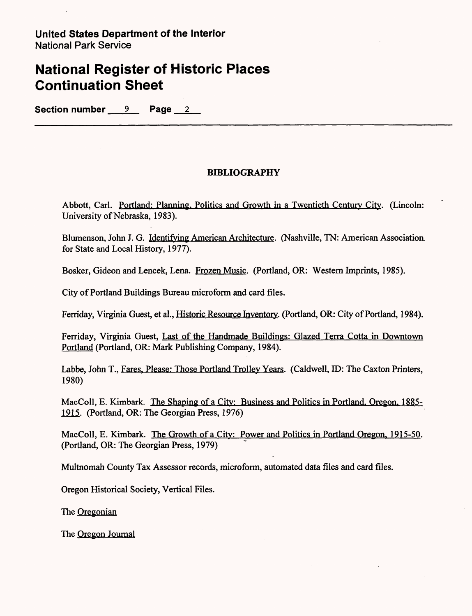**Section number 9 Page 2**

### **BIBLIOGRAPHY**

Abbott, Carl. Portland: Planning. Politics and Growth in a Twentieth Century City. (Lincoln: University of Nebraska, 1983).

Blumenson, John J. G. Identifying American Architecture. (Nashville, TN: American Association for State and Local History, 1977).

Bosker, Gideon and Lencek, Lena. Frozen Music. (Portland, OR: Western Imprints, 1985).

City of Portland Buildings Bureau microform and card files.

Ferriday, Virginia Guest, et al., Historic Resource Inventory. (Portland, OR: City of Portland, 1984).

Ferriday, Virginia Guest, Last of the Handmade Buildings: Glazed Terra Cotta in Downtown Portland (Portland, OR: Mark Publishing Company, 1984).

Labbe, John T., Fares. Please: Those Portland Trolley Years. (Caldwell, ID: The Caxton Printers, 1980)

MacColl, E. Kimbark. The Shaping of a City: Business and Politics in Portland. Oregon. 1885- 1915. (Portland, OR: The Georgian Press, 1976)

MacColl, E. Kimbark. The Growth of a City: Power and Politics in Portland Oregon. 1915-50. (Portland, OR: The Georgian Press, 1979)

Multnomah County Tax Assessor records, microform, automated data files and card files.

Oregon Historical Society, Vertical Files.

The Oregonian

The Oregon Journal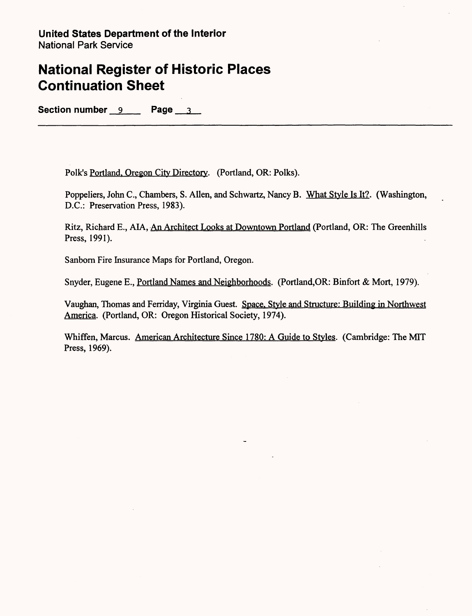Section number 9 Page 3

Folk's Portland. Oregon City Directory. (Portland, OR: Polks).

Poppeliers, John C., Chambers, S. Alien, and Schwartz, Nancy B. What Style Is It?. (Washington, D.C.: Preservation Press, 1983).

Ritz, Richard E., AIA, An Architect Looks at Downtown Portland (Portland, OR: The Greenhills Press, 1991).

Sanborn Fire Insurance Maps for Portland, Oregon.

Snyder, Eugene E., Portland Names and Neighborhoods. (Portland,OR: Binfort & Mort, 1979).

Vaughan, Thomas and Ferriday, Virginia Guest. Space. Style and Structure: Building in Northwest America. (Portland, OR: Oregon Historical Society, 1974).

Whiffen, Marcus. American Architecture Since 1780: A Guide to Styles. (Cambridge: The MIT Press, 1969).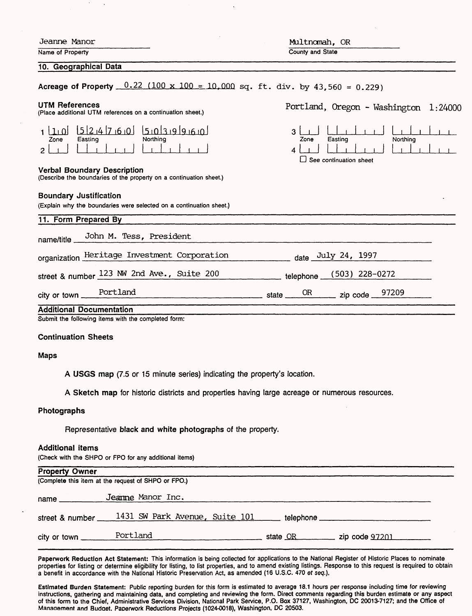| Jeanne Manor                                                                                             | Multnomah, OR                                                          |
|----------------------------------------------------------------------------------------------------------|------------------------------------------------------------------------|
| Name of Property                                                                                         | County and State                                                       |
| 10. Geographical Data                                                                                    |                                                                        |
| Acreage of Property $0.22$ (100 x 100 = 10,000 sq. ft. div. by 43,560 = 0.229)                           |                                                                        |
| UTM References<br>(Place additional UTM references on a continuation sheet.)                             | Portland, Oregon - Washington 1:24000                                  |
| $000199990$<br>+ OT<br>Northing<br>Easting<br>Zone<br>2                                                  | 3<br>Easting<br>Northing<br>Zone<br>4<br>$\Box$ See continuation sheet |
| <b>Verbal Boundary Description</b><br>(Describe the boundaries of the property on a continuation sheet.) |                                                                        |
| <b>Boundary Justification</b><br>(Explain why the boundaries were selected on a continuation sheet.)     |                                                                        |
| 11. Form Prepared By                                                                                     |                                                                        |
| John M. Tess, President<br>name/title                                                                    |                                                                        |
| organization Heritage Investment Corporation                                                             | date July 24, 1997                                                     |
| street & number 123 NW 2nd Ave., Suite 200                                                               | telephone (503) 228-0272                                               |
| Portland<br>city or town _                                                                               | 97209<br><b>OR</b><br>zip code __                                      |
| <b>Additional Documentation</b>                                                                          |                                                                        |
| Submit the following items with the completed form:                                                      |                                                                        |
| <b>Continuation Sheets</b>                                                                               |                                                                        |
| <b>Maps</b>                                                                                              |                                                                        |
| A USGS map (7.5 or 15 minute series) indicating the property's location.                                 |                                                                        |
| A Sketch map for historic districts and properties having large acreage or numerous resources.           |                                                                        |
| Photographs                                                                                              |                                                                        |

Representative black and white photographs of the property.

#### Additional items

(Check with the SHPO or FPO for any additional items)

| <b>Property Owner</b>                                           |                                          |  |  |  |  |  |
|-----------------------------------------------------------------|------------------------------------------|--|--|--|--|--|
| (Complete this item at the request of SHPO or FPO.)             |                                          |  |  |  |  |  |
| Jeanne Manor Inc.                                               |                                          |  |  |  |  |  |
| street & number _____1431 SW Park Avenue, Suite 101             | telephone ______________________________ |  |  |  |  |  |
| the contract of the contract of the contract of the contract of | state OR zip code 97201                  |  |  |  |  |  |
|                                                                 |                                          |  |  |  |  |  |

Paperwork Reduction Act Statement: This information is being collected for applications to the National Register of Historic Places to nominate properties for listing or determine eligibility for listing, to list properties, and to amend existing listings. Response to this request is required to obtain a benefit in accordance with the National Historic Preservation Act, as amended (16 U.S.C. 470 ef seq.).

Estimated Burden Statement: Public reporting burden for this form is estimated to average 18.1 hours per response including time for reviewing instructions, gathering and maintaining data, and completing and reviewing the form. Direct comments regarding this burden estimate or any aspect of this form to the Chief, Administrative Services Division, National Park Service, P.O. Box 37127, Washington, DC 20013-7127; and the Office of Manaaement and Budaet. Paperwork Reductions Projects (1024-0018), Washington, DC 20503.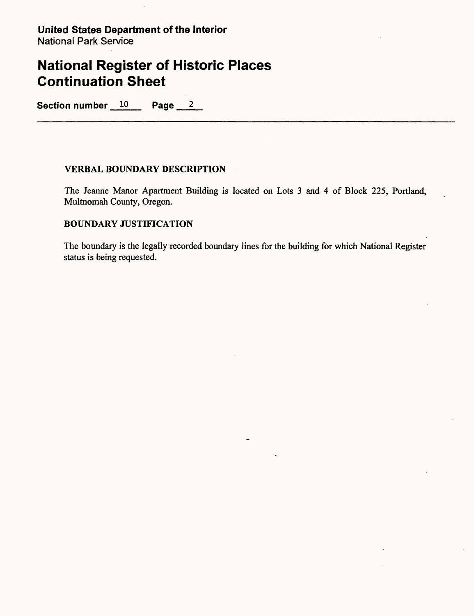Section number 10 Page 2

### **VERBAL BOUNDARY DESCRIPTION**

The Jeanne Manor Apartment Building is located on Lots 3 and 4 of Block 225, Portland, Multnomah County, Oregon.

### **BOUNDARY JUSTIFICATION**

The boundary is the legally recorded boundary lines for the building for which National Register status is being requested.